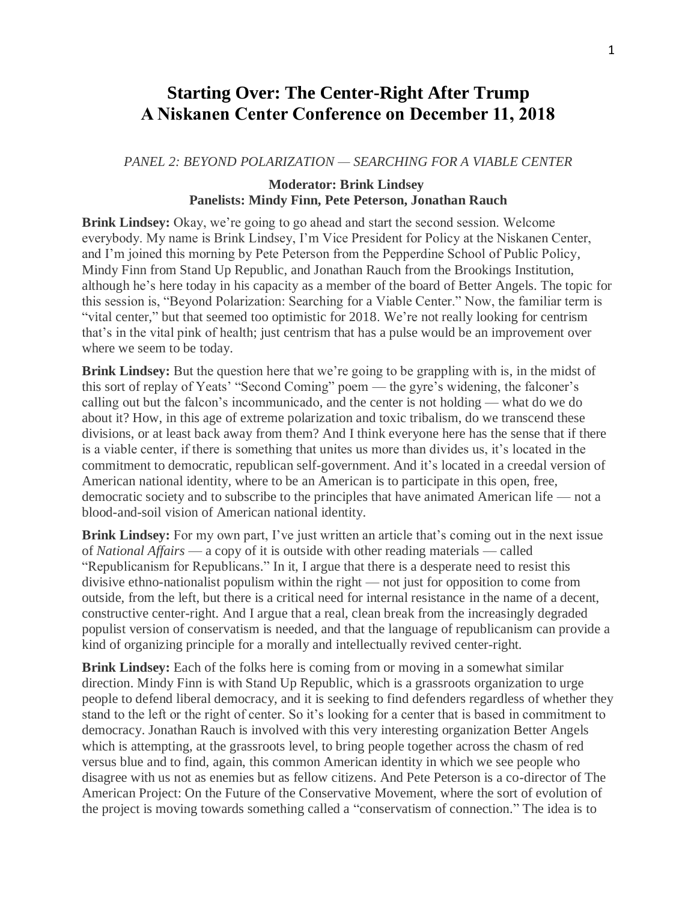# **Starting Over: The Center-Right After Trump A Niskanen Center Conference on December 11, 2018**

#### *PANEL 2: BEYOND POLARIZATION — SEARCHING FOR A VIABLE CENTER*

## **Moderator: Brink Lindsey Panelists: Mindy Finn, Pete Peterson, Jonathan Rauch**

**Brink Lindsey:** Okay, we're going to go ahead and start the second session. Welcome everybody. My name is Brink Lindsey, I'm Vice President for Policy at the Niskanen Center, and I'm joined this morning by Pete Peterson from the Pepperdine School of Public Policy, Mindy Finn from Stand Up Republic, and Jonathan Rauch from the Brookings Institution, although he's here today in his capacity as a member of the board of Better Angels. The topic for this session is, "Beyond Polarization: Searching for a Viable Center." Now, the familiar term is "vital center," but that seemed too optimistic for 2018. We're not really looking for centrism that's in the vital pink of health; just centrism that has a pulse would be an improvement over where we seem to be today.

**Brink Lindsey:** But the question here that we're going to be grappling with is, in the midst of this sort of replay of Yeats' "Second Coming" poem — the gyre's widening, the falconer's calling out but the falcon's incommunicado, and the center is not holding — what do we do about it? How, in this age of extreme polarization and toxic tribalism, do we transcend these divisions, or at least back away from them? And I think everyone here has the sense that if there is a viable center, if there is something that unites us more than divides us, it's located in the commitment to democratic, republican self-government. And it's located in a creedal version of American national identity, where to be an American is to participate in this open, free, democratic society and to subscribe to the principles that have animated American life — not a blood-and-soil vision of American national identity.

**Brink Lindsey:** For my own part, I've just written an article that's coming out in the next issue of *National Affairs* — a copy of it is outside with other reading materials — called "Republicanism for Republicans." In it, I argue that there is a desperate need to resist this divisive ethno-nationalist populism within the right — not just for opposition to come from outside, from the left, but there is a critical need for internal resistance in the name of a decent, constructive center-right. And I argue that a real, clean break from the increasingly degraded populist version of conservatism is needed, and that the language of republicanism can provide a kind of organizing principle for a morally and intellectually revived center-right.

**Brink Lindsey:** Each of the folks here is coming from or moving in a somewhat similar direction. Mindy Finn is with Stand Up Republic, which is a grassroots organization to urge people to defend liberal democracy, and it is seeking to find defenders regardless of whether they stand to the left or the right of center. So it's looking for a center that is based in commitment to democracy. Jonathan Rauch is involved with this very interesting organization Better Angels which is attempting, at the grassroots level, to bring people together across the chasm of red versus blue and to find, again, this common American identity in which we see people who disagree with us not as enemies but as fellow citizens. And Pete Peterson is a co-director of The American Project: On the Future of the Conservative Movement, where the sort of evolution of the project is moving towards something called a "conservatism of connection." The idea is to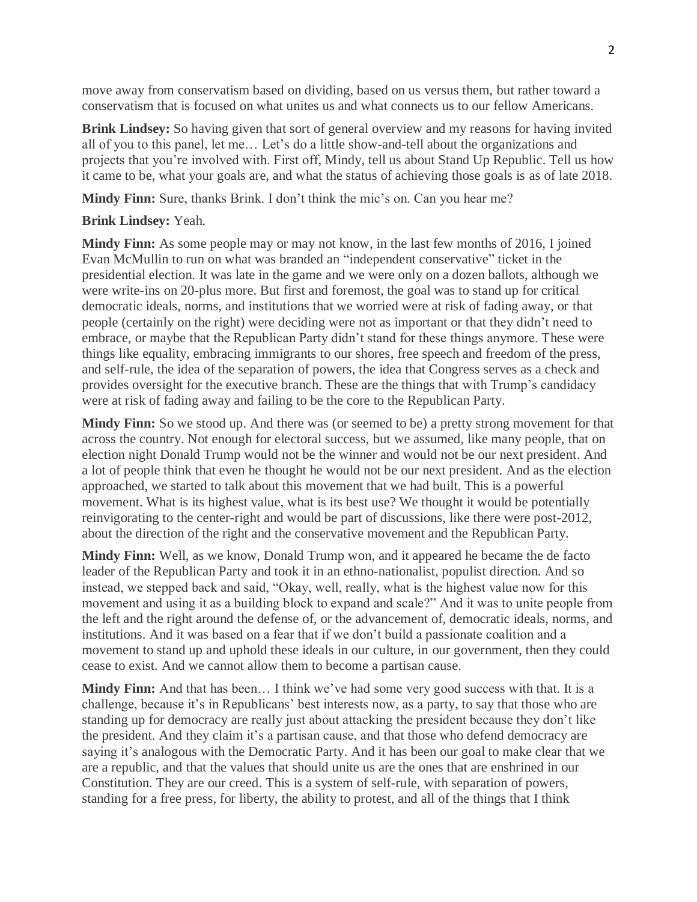move away from conservatism based on dividing, based on us versus them, but rather toward a conservatism that is focused on what unites us and what connects us to our fellow Americans.

**Brink Lindsey:** So having given that sort of general overview and my reasons for having invited all of you to this panel, let me… Let's do a little show-and-tell about the organizations and projects that you're involved with. First off, Mindy, tell us about Stand Up Republic. Tell us how it came to be, what your goals are, and what the status of achieving those goals is as of late 2018.

**Mindy Finn:** Sure, thanks Brink. I don't think the mic's on. Can you hear me?

### **Brink Lindsey:** Yeah.

**Mindy Finn:** As some people may or may not know, in the last few months of 2016, I joined Evan McMullin to run on what was branded an "independent conservative" ticket in the presidential election. It was late in the game and we were only on a dozen ballots, although we were write-ins on 20-plus more. But first and foremost, the goal was to stand up for critical democratic ideals, norms, and institutions that we worried were at risk of fading away, or that people (certainly on the right) were deciding were not as important or that they didn't need to embrace, or maybe that the Republican Party didn't stand for these things anymore. These were things like equality, embracing immigrants to our shores, free speech and freedom of the press, and self-rule, the idea of the separation of powers, the idea that Congress serves as a check and provides oversight for the executive branch. These are the things that with Trump's candidacy were at risk of fading away and failing to be the core to the Republican Party.

**Mindy Finn:** So we stood up. And there was (or seemed to be) a pretty strong movement for that across the country. Not enough for electoral success, but we assumed, like many people, that on election night Donald Trump would not be the winner and would not be our next president. And a lot of people think that even he thought he would not be our next president. And as the election approached, we started to talk about this movement that we had built. This is a powerful movement. What is its highest value, what is its best use? We thought it would be potentially reinvigorating to the center-right and would be part of discussions, like there were post-2012, about the direction of the right and the conservative movement and the Republican Party.

**Mindy Finn:** Well, as we know, Donald Trump won, and it appeared he became the de facto leader of the Republican Party and took it in an ethno-nationalist, populist direction. And so instead, we stepped back and said, "Okay, well, really, what is the highest value now for this movement and using it as a building block to expand and scale?" And it was to unite people from the left and the right around the defense of, or the advancement of, democratic ideals, norms, and institutions. And it was based on a fear that if we don't build a passionate coalition and a movement to stand up and uphold these ideals in our culture, in our government, then they could cease to exist. And we cannot allow them to become a partisan cause.

**Mindy Finn:** And that has been… I think we've had some very good success with that. It is a challenge, because it's in Republicans' best interests now, as a party, to say that those who are standing up for democracy are really just about attacking the president because they don't like the president. And they claim it's a partisan cause, and that those who defend democracy are saying it's analogous with the Democratic Party. And it has been our goal to make clear that we are a republic, and that the values that should unite us are the ones that are enshrined in our Constitution. They are our creed. This is a system of self-rule, with separation of powers, standing for a free press, for liberty, the ability to protest, and all of the things that I think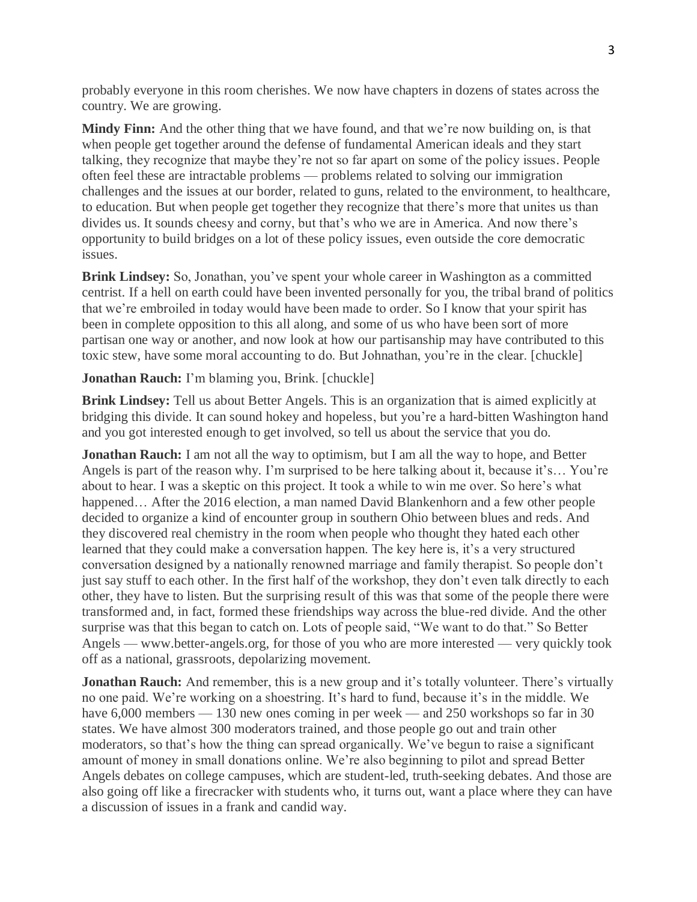probably everyone in this room cherishes. We now have chapters in dozens of states across the country. We are growing.

**Mindy Finn:** And the other thing that we have found, and that we're now building on, is that when people get together around the defense of fundamental American ideals and they start talking, they recognize that maybe they're not so far apart on some of the policy issues. People often feel these are intractable problems — problems related to solving our immigration challenges and the issues at our border, related to guns, related to the environment, to healthcare, to education. But when people get together they recognize that there's more that unites us than divides us. It sounds cheesy and corny, but that's who we are in America. And now there's opportunity to build bridges on a lot of these policy issues, even outside the core democratic issues.

**Brink Lindsey:** So, Jonathan, you've spent your whole career in Washington as a committed centrist. If a hell on earth could have been invented personally for you, the tribal brand of politics that we're embroiled in today would have been made to order. So I know that your spirit has been in complete opposition to this all along, and some of us who have been sort of more partisan one way or another, and now look at how our partisanship may have contributed to this toxic stew, have some moral accounting to do. But Johnathan, you're in the clear. [chuckle]

## **Jonathan Rauch:** I'm blaming you, Brink. [chuckle]

**Brink Lindsey:** Tell us about Better Angels. This is an organization that is aimed explicitly at bridging this divide. It can sound hokey and hopeless, but you're a hard-bitten Washington hand and you got interested enough to get involved, so tell us about the service that you do.

**Jonathan Rauch:** I am not all the way to optimism, but I am all the way to hope, and Better Angels is part of the reason why. I'm surprised to be here talking about it, because it's… You're about to hear. I was a skeptic on this project. It took a while to win me over. So here's what happened... After the 2016 election, a man named David Blankenhorn and a few other people decided to organize a kind of encounter group in southern Ohio between blues and reds. And they discovered real chemistry in the room when people who thought they hated each other learned that they could make a conversation happen. The key here is, it's a very structured conversation designed by a nationally renowned marriage and family therapist. So people don't just say stuff to each other. In the first half of the workshop, they don't even talk directly to each other, they have to listen. But the surprising result of this was that some of the people there were transformed and, in fact, formed these friendships way across the blue-red divide. And the other surprise was that this began to catch on. Lots of people said, "We want to do that." So Better Angels — www.better-angels.org, for those of you who are more interested — very quickly took off as a national, grassroots, depolarizing movement.

**Jonathan Rauch:** And remember, this is a new group and it's totally volunteer. There's virtually no one paid. We're working on a shoestring. It's hard to fund, because it's in the middle. We have 6,000 members — 130 new ones coming in per week — and 250 workshops so far in 30 states. We have almost 300 moderators trained, and those people go out and train other moderators, so that's how the thing can spread organically. We've begun to raise a significant amount of money in small donations online. We're also beginning to pilot and spread Better Angels debates on college campuses, which are student-led, truth-seeking debates. And those are also going off like a firecracker with students who, it turns out, want a place where they can have a discussion of issues in a frank and candid way.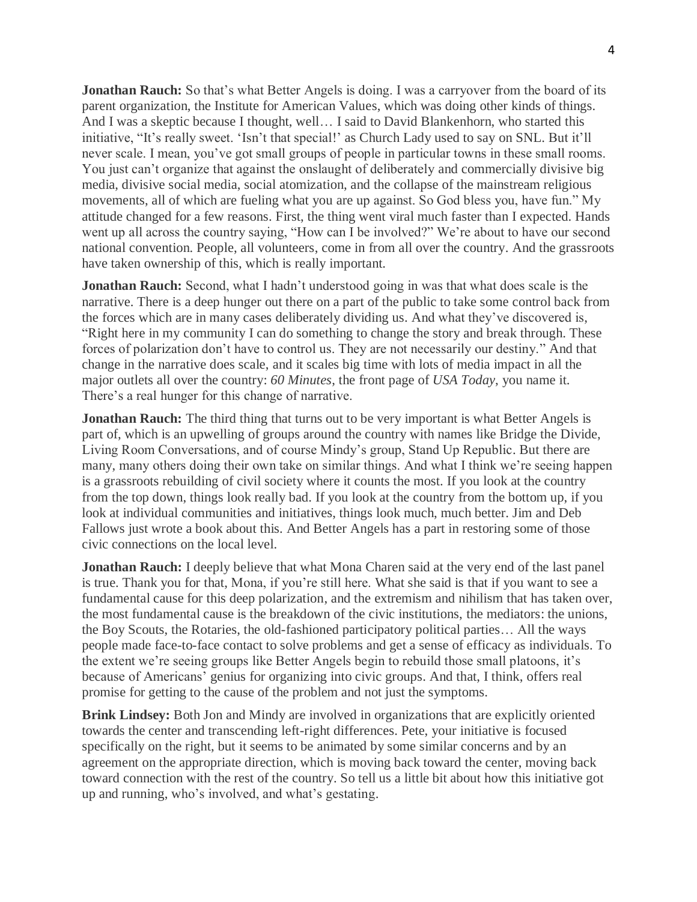**Jonathan Rauch:** So that's what Better Angels is doing. I was a carryover from the board of its parent organization, the Institute for American Values, which was doing other kinds of things. And I was a skeptic because I thought, well… I said to David Blankenhorn, who started this initiative, "It's really sweet. 'Isn't that special!' as Church Lady used to say on SNL. But it'll never scale. I mean, you've got small groups of people in particular towns in these small rooms. You just can't organize that against the onslaught of deliberately and commercially divisive big media, divisive social media, social atomization, and the collapse of the mainstream religious movements, all of which are fueling what you are up against. So God bless you, have fun." My attitude changed for a few reasons. First, the thing went viral much faster than I expected. Hands went up all across the country saying, "How can I be involved?" We're about to have our second national convention. People, all volunteers, come in from all over the country. And the grassroots have taken ownership of this, which is really important.

**Jonathan Rauch:** Second, what I hadn't understood going in was that what does scale is the narrative. There is a deep hunger out there on a part of the public to take some control back from the forces which are in many cases deliberately dividing us. And what they've discovered is, "Right here in my community I can do something to change the story and break through. These forces of polarization don't have to control us. They are not necessarily our destiny." And that change in the narrative does scale, and it scales big time with lots of media impact in all the major outlets all over the country: *60 Minutes*, the front page of *USA Today*, you name it. There's a real hunger for this change of narrative.

**Jonathan Rauch:** The third thing that turns out to be very important is what Better Angels is part of, which is an upwelling of groups around the country with names like Bridge the Divide, Living Room Conversations, and of course Mindy's group, Stand Up Republic. But there are many, many others doing their own take on similar things. And what I think we're seeing happen is a grassroots rebuilding of civil society where it counts the most. If you look at the country from the top down, things look really bad. If you look at the country from the bottom up, if you look at individual communities and initiatives, things look much, much better. Jim and Deb Fallows just wrote a book about this. And Better Angels has a part in restoring some of those civic connections on the local level.

**Jonathan Rauch:** I deeply believe that what Mona Charen said at the very end of the last panel is true. Thank you for that, Mona, if you're still here. What she said is that if you want to see a fundamental cause for this deep polarization, and the extremism and nihilism that has taken over, the most fundamental cause is the breakdown of the civic institutions, the mediators: the unions, the Boy Scouts, the Rotaries, the old-fashioned participatory political parties… All the ways people made face-to-face contact to solve problems and get a sense of efficacy as individuals. To the extent we're seeing groups like Better Angels begin to rebuild those small platoons, it's because of Americans' genius for organizing into civic groups. And that, I think, offers real promise for getting to the cause of the problem and not just the symptoms.

**Brink Lindsey:** Both Jon and Mindy are involved in organizations that are explicitly oriented towards the center and transcending left-right differences. Pete, your initiative is focused specifically on the right, but it seems to be animated by some similar concerns and by an agreement on the appropriate direction, which is moving back toward the center, moving back toward connection with the rest of the country. So tell us a little bit about how this initiative got up and running, who's involved, and what's gestating.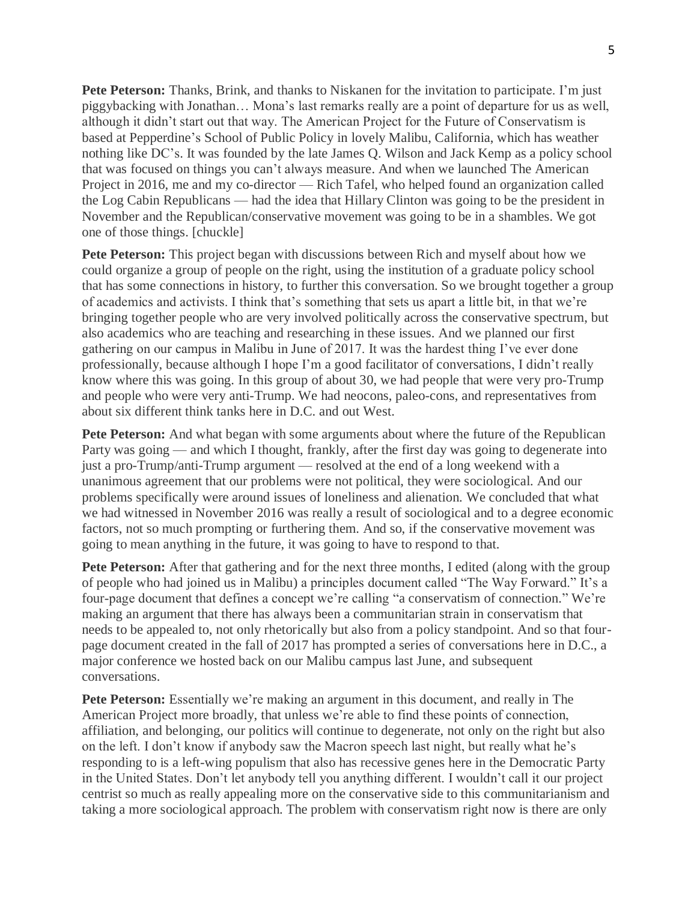**Pete Peterson:** Thanks, Brink, and thanks to Niskanen for the invitation to participate. I'm just piggybacking with Jonathan… Mona's last remarks really are a point of departure for us as well, although it didn't start out that way. The American Project for the Future of Conservatism is based at Pepperdine's School of Public Policy in lovely Malibu, California, which has weather nothing like DC's. It was founded by the late James Q. Wilson and Jack Kemp as a policy school that was focused on things you can't always measure. And when we launched The American Project in 2016, me and my co-director — Rich Tafel, who helped found an organization called the Log Cabin Republicans — had the idea that Hillary Clinton was going to be the president in November and the Republican/conservative movement was going to be in a shambles. We got one of those things. [chuckle]

**Pete Peterson:** This project began with discussions between Rich and myself about how we could organize a group of people on the right, using the institution of a graduate policy school that has some connections in history, to further this conversation. So we brought together a group of academics and activists. I think that's something that sets us apart a little bit, in that we're bringing together people who are very involved politically across the conservative spectrum, but also academics who are teaching and researching in these issues. And we planned our first gathering on our campus in Malibu in June of 2017. It was the hardest thing I've ever done professionally, because although I hope I'm a good facilitator of conversations, I didn't really know where this was going. In this group of about 30, we had people that were very pro-Trump and people who were very anti-Trump. We had neocons, paleo-cons, and representatives from about six different think tanks here in D.C. and out West.

**Pete Peterson:** And what began with some arguments about where the future of the Republican Party was going — and which I thought, frankly, after the first day was going to degenerate into just a pro-Trump/anti-Trump argument — resolved at the end of a long weekend with a unanimous agreement that our problems were not political, they were sociological. And our problems specifically were around issues of loneliness and alienation. We concluded that what we had witnessed in November 2016 was really a result of sociological and to a degree economic factors, not so much prompting or furthering them. And so, if the conservative movement was going to mean anything in the future, it was going to have to respond to that.

**Pete Peterson:** After that gathering and for the next three months, I edited (along with the group of people who had joined us in Malibu) a principles document called "The Way Forward." It's a four-page document that defines a concept we're calling "a conservatism of connection." We're making an argument that there has always been a communitarian strain in conservatism that needs to be appealed to, not only rhetorically but also from a policy standpoint. And so that fourpage document created in the fall of 2017 has prompted a series of conversations here in D.C., a major conference we hosted back on our Malibu campus last June, and subsequent conversations.

**Pete Peterson:** Essentially we're making an argument in this document, and really in The American Project more broadly, that unless we're able to find these points of connection, affiliation, and belonging, our politics will continue to degenerate, not only on the right but also on the left. I don't know if anybody saw the Macron speech last night, but really what he's responding to is a left-wing populism that also has recessive genes here in the Democratic Party in the United States. Don't let anybody tell you anything different. I wouldn't call it our project centrist so much as really appealing more on the conservative side to this communitarianism and taking a more sociological approach. The problem with conservatism right now is there are only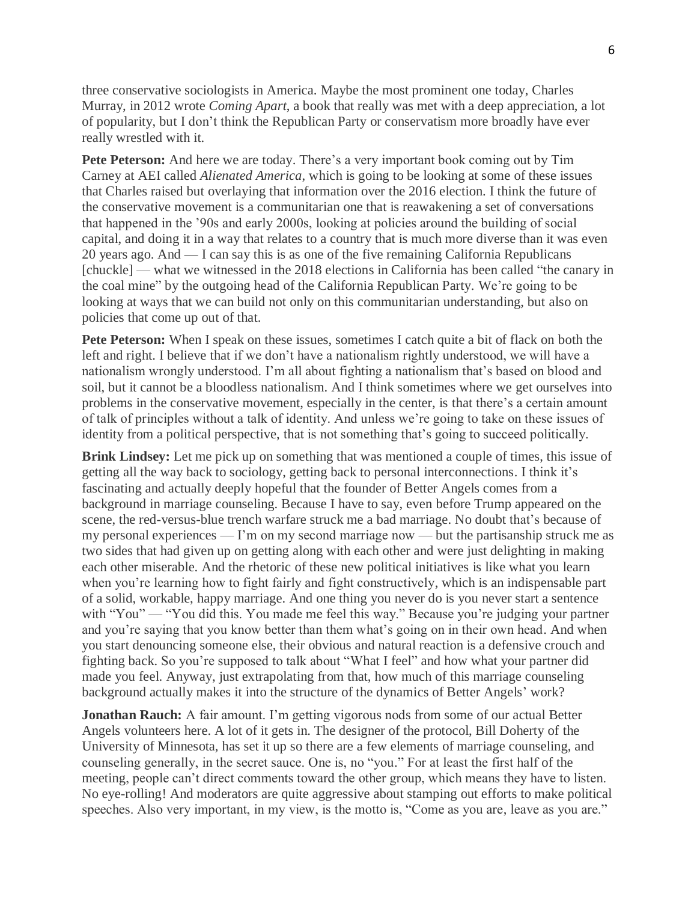three conservative sociologists in America. Maybe the most prominent one today, Charles Murray, in 2012 wrote *Coming Apart*, a book that really was met with a deep appreciation, a lot of popularity, but I don't think the Republican Party or conservatism more broadly have ever really wrestled with it.

**Pete Peterson:** And here we are today. There's a very important book coming out by Tim Carney at AEI called *Alienated America*, which is going to be looking at some of these issues that Charles raised but overlaying that information over the 2016 election. I think the future of the conservative movement is a communitarian one that is reawakening a set of conversations that happened in the '90s and early 2000s, looking at policies around the building of social capital, and doing it in a way that relates to a country that is much more diverse than it was even 20 years ago. And — I can say this is as one of the five remaining California Republicans [chuckle] — what we witnessed in the 2018 elections in California has been called "the canary in the coal mine" by the outgoing head of the California Republican Party. We're going to be looking at ways that we can build not only on this communitarian understanding, but also on policies that come up out of that.

**Pete Peterson:** When I speak on these issues, sometimes I catch quite a bit of flack on both the left and right. I believe that if we don't have a nationalism rightly understood, we will have a nationalism wrongly understood. I'm all about fighting a nationalism that's based on blood and soil, but it cannot be a bloodless nationalism. And I think sometimes where we get ourselves into problems in the conservative movement, especially in the center, is that there's a certain amount of talk of principles without a talk of identity. And unless we're going to take on these issues of identity from a political perspective, that is not something that's going to succeed politically.

**Brink Lindsey:** Let me pick up on something that was mentioned a couple of times, this issue of getting all the way back to sociology, getting back to personal interconnections. I think it's fascinating and actually deeply hopeful that the founder of Better Angels comes from a background in marriage counseling. Because I have to say, even before Trump appeared on the scene, the red-versus-blue trench warfare struck me a bad marriage. No doubt that's because of my personal experiences — I'm on my second marriage now — but the partisanship struck me as two sides that had given up on getting along with each other and were just delighting in making each other miserable. And the rhetoric of these new political initiatives is like what you learn when you're learning how to fight fairly and fight constructively, which is an indispensable part of a solid, workable, happy marriage. And one thing you never do is you never start a sentence with "You" — "You did this. You made me feel this way." Because you're judging your partner and you're saying that you know better than them what's going on in their own head. And when you start denouncing someone else, their obvious and natural reaction is a defensive crouch and fighting back. So you're supposed to talk about "What I feel" and how what your partner did made you feel. Anyway, just extrapolating from that, how much of this marriage counseling background actually makes it into the structure of the dynamics of Better Angels' work?

**Jonathan Rauch:** A fair amount. I'm getting vigorous nods from some of our actual Better Angels volunteers here. A lot of it gets in. The designer of the protocol, Bill Doherty of the University of Minnesota, has set it up so there are a few elements of marriage counseling, and counseling generally, in the secret sauce. One is, no "you." For at least the first half of the meeting, people can't direct comments toward the other group, which means they have to listen. No eye-rolling! And moderators are quite aggressive about stamping out efforts to make political speeches. Also very important, in my view, is the motto is, "Come as you are, leave as you are."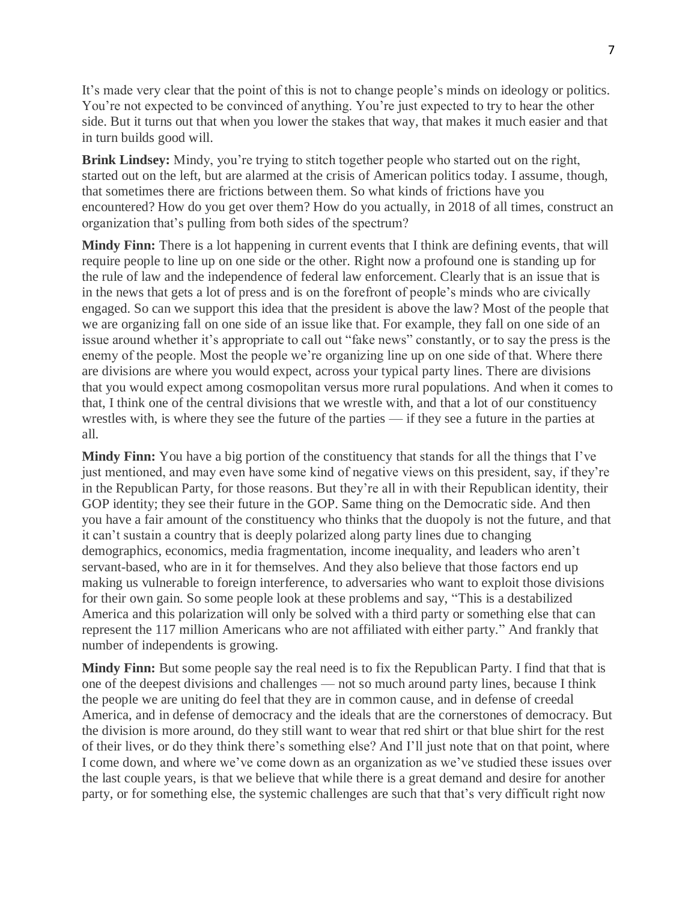It's made very clear that the point of this is not to change people's minds on ideology or politics. You're not expected to be convinced of anything. You're just expected to try to hear the other side. But it turns out that when you lower the stakes that way, that makes it much easier and that in turn builds good will.

**Brink Lindsey:** Mindy, you're trying to stitch together people who started out on the right, started out on the left, but are alarmed at the crisis of American politics today. I assume, though, that sometimes there are frictions between them. So what kinds of frictions have you encountered? How do you get over them? How do you actually, in 2018 of all times, construct an organization that's pulling from both sides of the spectrum?

**Mindy Finn:** There is a lot happening in current events that I think are defining events, that will require people to line up on one side or the other. Right now a profound one is standing up for the rule of law and the independence of federal law enforcement. Clearly that is an issue that is in the news that gets a lot of press and is on the forefront of people's minds who are civically engaged. So can we support this idea that the president is above the law? Most of the people that we are organizing fall on one side of an issue like that. For example, they fall on one side of an issue around whether it's appropriate to call out "fake news" constantly, or to say the press is the enemy of the people. Most the people we're organizing line up on one side of that. Where there are divisions are where you would expect, across your typical party lines. There are divisions that you would expect among cosmopolitan versus more rural populations. And when it comes to that, I think one of the central divisions that we wrestle with, and that a lot of our constituency wrestles with, is where they see the future of the parties — if they see a future in the parties at all.

**Mindy Finn:** You have a big portion of the constituency that stands for all the things that I've just mentioned, and may even have some kind of negative views on this president, say, if they're in the Republican Party, for those reasons. But they're all in with their Republican identity, their GOP identity; they see their future in the GOP. Same thing on the Democratic side. And then you have a fair amount of the constituency who thinks that the duopoly is not the future, and that it can't sustain a country that is deeply polarized along party lines due to changing demographics, economics, media fragmentation, income inequality, and leaders who aren't servant-based, who are in it for themselves. And they also believe that those factors end up making us vulnerable to foreign interference, to adversaries who want to exploit those divisions for their own gain. So some people look at these problems and say, "This is a destabilized America and this polarization will only be solved with a third party or something else that can represent the 117 million Americans who are not affiliated with either party." And frankly that number of independents is growing.

**Mindy Finn:** But some people say the real need is to fix the Republican Party. I find that that is one of the deepest divisions and challenges — not so much around party lines, because I think the people we are uniting do feel that they are in common cause, and in defense of creedal America, and in defense of democracy and the ideals that are the cornerstones of democracy. But the division is more around, do they still want to wear that red shirt or that blue shirt for the rest of their lives, or do they think there's something else? And I'll just note that on that point, where I come down, and where we've come down as an organization as we've studied these issues over the last couple years, is that we believe that while there is a great demand and desire for another party, or for something else, the systemic challenges are such that that's very difficult right now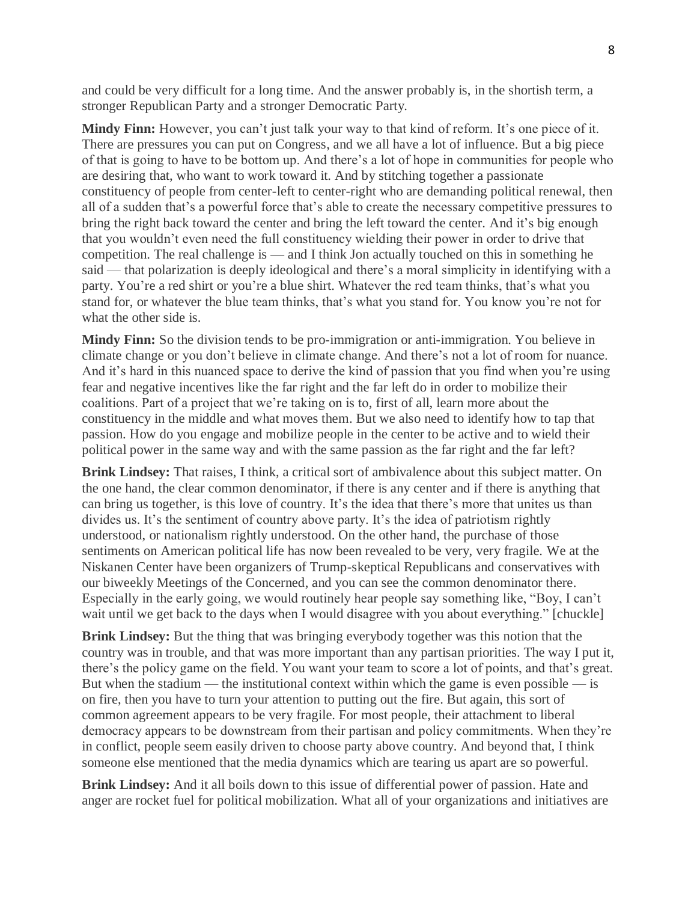and could be very difficult for a long time. And the answer probably is, in the shortish term, a stronger Republican Party and a stronger Democratic Party.

**Mindy Finn:** However, you can't just talk your way to that kind of reform. It's one piece of it. There are pressures you can put on Congress, and we all have a lot of influence. But a big piece of that is going to have to be bottom up. And there's a lot of hope in communities for people who are desiring that, who want to work toward it. And by stitching together a passionate constituency of people from center-left to center-right who are demanding political renewal, then all of a sudden that's a powerful force that's able to create the necessary competitive pressures to bring the right back toward the center and bring the left toward the center. And it's big enough that you wouldn't even need the full constituency wielding their power in order to drive that competition. The real challenge is — and I think Jon actually touched on this in something he said — that polarization is deeply ideological and there's a moral simplicity in identifying with a party. You're a red shirt or you're a blue shirt. Whatever the red team thinks, that's what you stand for, or whatever the blue team thinks, that's what you stand for. You know you're not for what the other side is.

**Mindy Finn:** So the division tends to be pro-immigration or anti-immigration. You believe in climate change or you don't believe in climate change. And there's not a lot of room for nuance. And it's hard in this nuanced space to derive the kind of passion that you find when you're using fear and negative incentives like the far right and the far left do in order to mobilize their coalitions. Part of a project that we're taking on is to, first of all, learn more about the constituency in the middle and what moves them. But we also need to identify how to tap that passion. How do you engage and mobilize people in the center to be active and to wield their political power in the same way and with the same passion as the far right and the far left?

**Brink Lindsey:** That raises, I think, a critical sort of ambivalence about this subject matter. On the one hand, the clear common denominator, if there is any center and if there is anything that can bring us together, is this love of country. It's the idea that there's more that unites us than divides us. It's the sentiment of country above party. It's the idea of patriotism rightly understood, or nationalism rightly understood. On the other hand, the purchase of those sentiments on American political life has now been revealed to be very, very fragile. We at the Niskanen Center have been organizers of Trump-skeptical Republicans and conservatives with our biweekly Meetings of the Concerned, and you can see the common denominator there. Especially in the early going, we would routinely hear people say something like, "Boy, I can't wait until we get back to the days when I would disagree with you about everything." [chuckle]

**Brink Lindsey:** But the thing that was bringing everybody together was this notion that the country was in trouble, and that was more important than any partisan priorities. The way I put it, there's the policy game on the field. You want your team to score a lot of points, and that's great. But when the stadium — the institutional context within which the game is even possible — is on fire, then you have to turn your attention to putting out the fire. But again, this sort of common agreement appears to be very fragile. For most people, their attachment to liberal democracy appears to be downstream from their partisan and policy commitments. When they're in conflict, people seem easily driven to choose party above country. And beyond that, I think someone else mentioned that the media dynamics which are tearing us apart are so powerful.

**Brink Lindsey:** And it all boils down to this issue of differential power of passion. Hate and anger are rocket fuel for political mobilization. What all of your organizations and initiatives are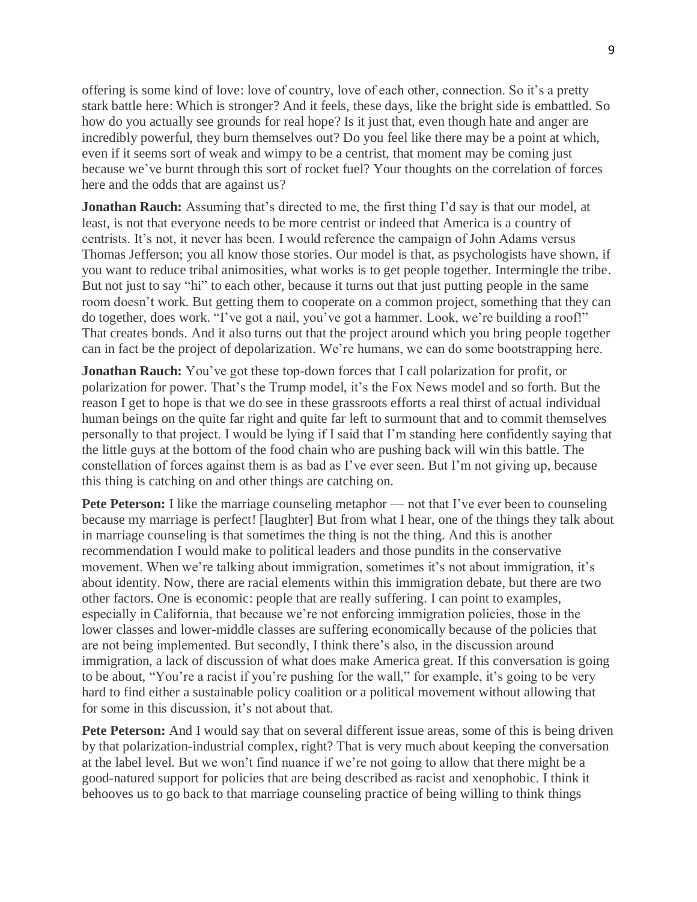offering is some kind of love: love of country, love of each other, connection. So it's a pretty stark battle here: Which is stronger? And it feels, these days, like the bright side is embattled. So how do you actually see grounds for real hope? Is it just that, even though hate and anger are incredibly powerful, they burn themselves out? Do you feel like there may be a point at which, even if it seems sort of weak and wimpy to be a centrist, that moment may be coming just because we've burnt through this sort of rocket fuel? Your thoughts on the correlation of forces here and the odds that are against us?

**Jonathan Rauch:** Assuming that's directed to me, the first thing I'd say is that our model, at least, is not that everyone needs to be more centrist or indeed that America is a country of centrists. It's not, it never has been. I would reference the campaign of John Adams versus Thomas Jefferson; you all know those stories. Our model is that, as psychologists have shown, if you want to reduce tribal animosities, what works is to get people together. Intermingle the tribe. But not just to say "hi" to each other, because it turns out that just putting people in the same room doesn't work. But getting them to cooperate on a common project, something that they can do together, does work. "I've got a nail, you've got a hammer. Look, we're building a roof!" That creates bonds. And it also turns out that the project around which you bring people together can in fact be the project of depolarization. We're humans, we can do some bootstrapping here.

**Jonathan Rauch:** You've got these top-down forces that I call polarization for profit, or polarization for power. That's the Trump model, it's the Fox News model and so forth. But the reason I get to hope is that we do see in these grassroots efforts a real thirst of actual individual human beings on the quite far right and quite far left to surmount that and to commit themselves personally to that project. I would be lying if I said that I'm standing here confidently saying that the little guys at the bottom of the food chain who are pushing back will win this battle. The constellation of forces against them is as bad as I've ever seen. But I'm not giving up, because this thing is catching on and other things are catching on.

**Pete Peterson:** I like the marriage counseling metaphor — not that I've ever been to counseling because my marriage is perfect! [laughter] But from what I hear, one of the things they talk about in marriage counseling is that sometimes the thing is not the thing. And this is another recommendation I would make to political leaders and those pundits in the conservative movement. When we're talking about immigration, sometimes it's not about immigration, it's about identity. Now, there are racial elements within this immigration debate, but there are two other factors. One is economic: people that are really suffering. I can point to examples, especially in California, that because we're not enforcing immigration policies, those in the lower classes and lower-middle classes are suffering economically because of the policies that are not being implemented. But secondly, I think there's also, in the discussion around immigration, a lack of discussion of what does make America great. If this conversation is going to be about, "You're a racist if you're pushing for the wall," for example, it's going to be very hard to find either a sustainable policy coalition or a political movement without allowing that for some in this discussion, it's not about that.

**Pete Peterson:** And I would say that on several different issue areas, some of this is being driven by that polarization-industrial complex, right? That is very much about keeping the conversation at the label level. But we won't find nuance if we're not going to allow that there might be a good-natured support for policies that are being described as racist and xenophobic. I think it behooves us to go back to that marriage counseling practice of being willing to think things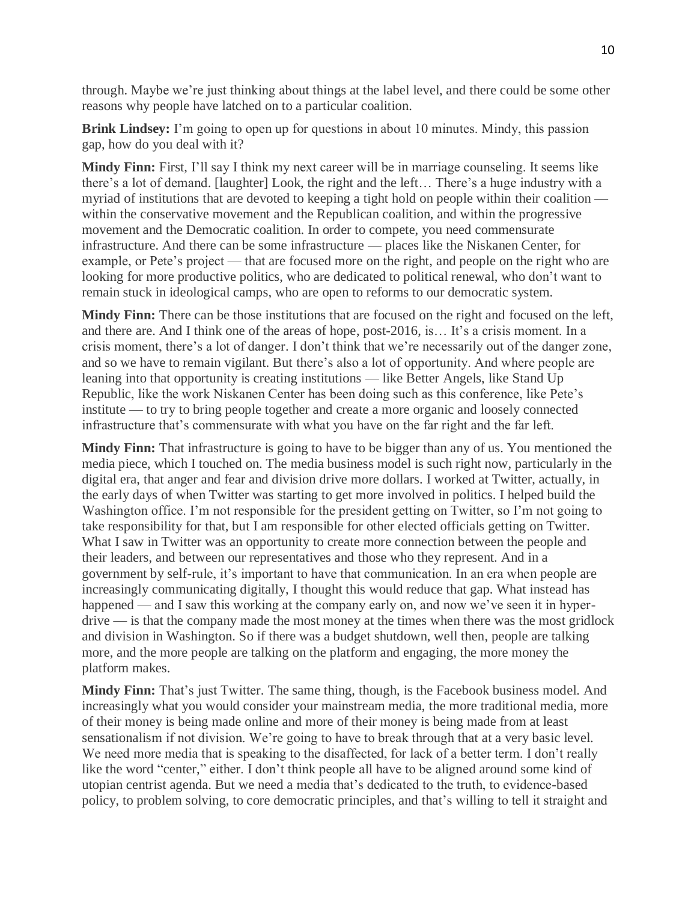through. Maybe we're just thinking about things at the label level, and there could be some other reasons why people have latched on to a particular coalition.

**Brink Lindsey:** I'm going to open up for questions in about 10 minutes. Mindy, this passion gap, how do you deal with it?

**Mindy Finn:** First, I'll say I think my next career will be in marriage counseling. It seems like there's a lot of demand. [laughter] Look, the right and the left… There's a huge industry with a myriad of institutions that are devoted to keeping a tight hold on people within their coalition within the conservative movement and the Republican coalition, and within the progressive movement and the Democratic coalition. In order to compete, you need commensurate infrastructure. And there can be some infrastructure — places like the Niskanen Center, for example, or Pete's project — that are focused more on the right, and people on the right who are looking for more productive politics, who are dedicated to political renewal, who don't want to remain stuck in ideological camps, who are open to reforms to our democratic system.

**Mindy Finn:** There can be those institutions that are focused on the right and focused on the left, and there are. And I think one of the areas of hope, post-2016, is… It's a crisis moment. In a crisis moment, there's a lot of danger. I don't think that we're necessarily out of the danger zone, and so we have to remain vigilant. But there's also a lot of opportunity. And where people are leaning into that opportunity is creating institutions — like Better Angels, like Stand Up Republic, like the work Niskanen Center has been doing such as this conference, like Pete's institute — to try to bring people together and create a more organic and loosely connected infrastructure that's commensurate with what you have on the far right and the far left.

**Mindy Finn:** That infrastructure is going to have to be bigger than any of us. You mentioned the media piece, which I touched on. The media business model is such right now, particularly in the digital era, that anger and fear and division drive more dollars. I worked at Twitter, actually, in the early days of when Twitter was starting to get more involved in politics. I helped build the Washington office. I'm not responsible for the president getting on Twitter, so I'm not going to take responsibility for that, but I am responsible for other elected officials getting on Twitter. What I saw in Twitter was an opportunity to create more connection between the people and their leaders, and between our representatives and those who they represent. And in a government by self-rule, it's important to have that communication. In an era when people are increasingly communicating digitally, I thought this would reduce that gap. What instead has happened — and I saw this working at the company early on, and now we've seen it in hyperdrive — is that the company made the most money at the times when there was the most gridlock and division in Washington. So if there was a budget shutdown, well then, people are talking more, and the more people are talking on the platform and engaging, the more money the platform makes.

**Mindy Finn:** That's just Twitter. The same thing, though, is the Facebook business model. And increasingly what you would consider your mainstream media, the more traditional media, more of their money is being made online and more of their money is being made from at least sensationalism if not division. We're going to have to break through that at a very basic level. We need more media that is speaking to the disaffected, for lack of a better term. I don't really like the word "center," either. I don't think people all have to be aligned around some kind of utopian centrist agenda. But we need a media that's dedicated to the truth, to evidence-based policy, to problem solving, to core democratic principles, and that's willing to tell it straight and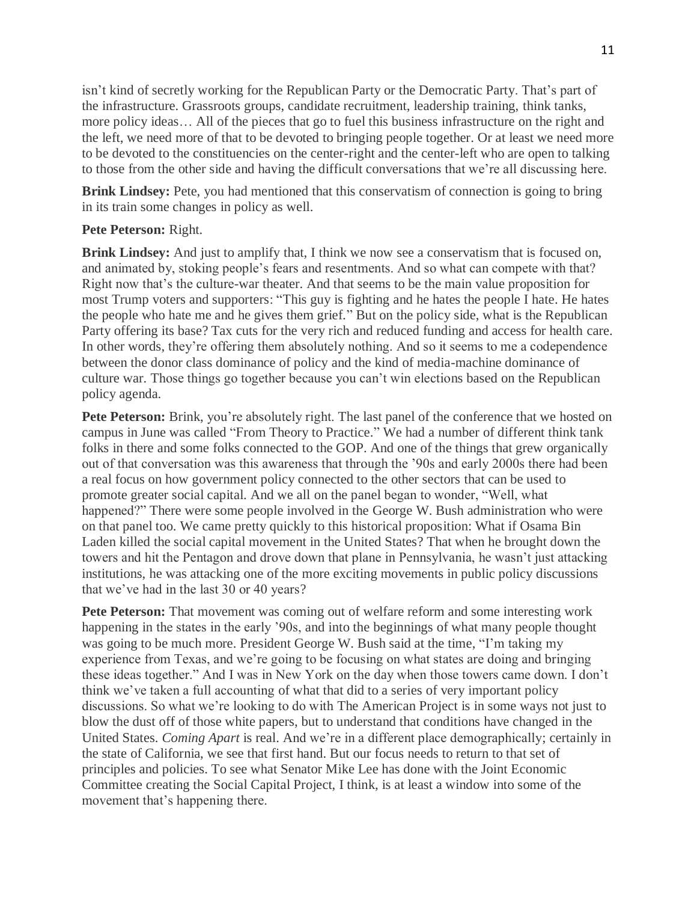isn't kind of secretly working for the Republican Party or the Democratic Party. That's part of the infrastructure. Grassroots groups, candidate recruitment, leadership training, think tanks, more policy ideas… All of the pieces that go to fuel this business infrastructure on the right and the left, we need more of that to be devoted to bringing people together. Or at least we need more to be devoted to the constituencies on the center-right and the center-left who are open to talking to those from the other side and having the difficult conversations that we're all discussing here.

**Brink Lindsey:** Pete, you had mentioned that this conservatism of connection is going to bring in its train some changes in policy as well.

## **Pete Peterson:** Right.

**Brink Lindsey:** And just to amplify that, I think we now see a conservatism that is focused on, and animated by, stoking people's fears and resentments. And so what can compete with that? Right now that's the culture-war theater. And that seems to be the main value proposition for most Trump voters and supporters: "This guy is fighting and he hates the people I hate. He hates the people who hate me and he gives them grief." But on the policy side, what is the Republican Party offering its base? Tax cuts for the very rich and reduced funding and access for health care. In other words, they're offering them absolutely nothing. And so it seems to me a codependence between the donor class dominance of policy and the kind of media-machine dominance of culture war. Those things go together because you can't win elections based on the Republican policy agenda.

**Pete Peterson:** Brink, you're absolutely right. The last panel of the conference that we hosted on campus in June was called "From Theory to Practice." We had a number of different think tank folks in there and some folks connected to the GOP. And one of the things that grew organically out of that conversation was this awareness that through the '90s and early 2000s there had been a real focus on how government policy connected to the other sectors that can be used to promote greater social capital. And we all on the panel began to wonder, "Well, what happened?" There were some people involved in the George W. Bush administration who were on that panel too. We came pretty quickly to this historical proposition: What if Osama Bin Laden killed the social capital movement in the United States? That when he brought down the towers and hit the Pentagon and drove down that plane in Pennsylvania, he wasn't just attacking institutions, he was attacking one of the more exciting movements in public policy discussions that we've had in the last 30 or 40 years?

**Pete Peterson:** That movement was coming out of welfare reform and some interesting work happening in the states in the early '90s, and into the beginnings of what many people thought was going to be much more. President George W. Bush said at the time, "I'm taking my experience from Texas, and we're going to be focusing on what states are doing and bringing these ideas together." And I was in New York on the day when those towers came down. I don't think we've taken a full accounting of what that did to a series of very important policy discussions. So what we're looking to do with The American Project is in some ways not just to blow the dust off of those white papers, but to understand that conditions have changed in the United States. *Coming Apart* is real. And we're in a different place demographically; certainly in the state of California, we see that first hand. But our focus needs to return to that set of principles and policies. To see what Senator Mike Lee has done with the Joint Economic Committee creating the Social Capital Project, I think, is at least a window into some of the movement that's happening there.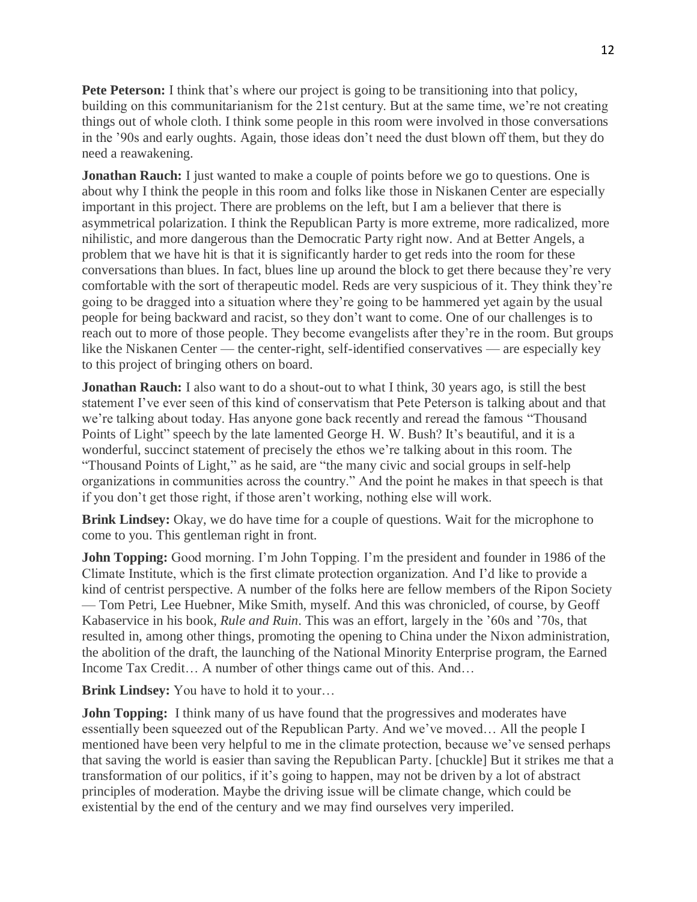**Pete Peterson:** I think that's where our project is going to be transitioning into that policy, building on this communitarianism for the 21st century. But at the same time, we're not creating things out of whole cloth. I think some people in this room were involved in those conversations in the '90s and early oughts. Again, those ideas don't need the dust blown off them, but they do need a reawakening.

**Jonathan Rauch:** I just wanted to make a couple of points before we go to questions. One is about why I think the people in this room and folks like those in Niskanen Center are especially important in this project. There are problems on the left, but I am a believer that there is asymmetrical polarization. I think the Republican Party is more extreme, more radicalized, more nihilistic, and more dangerous than the Democratic Party right now. And at Better Angels, a problem that we have hit is that it is significantly harder to get reds into the room for these conversations than blues. In fact, blues line up around the block to get there because they're very comfortable with the sort of therapeutic model. Reds are very suspicious of it. They think they're going to be dragged into a situation where they're going to be hammered yet again by the usual people for being backward and racist, so they don't want to come. One of our challenges is to reach out to more of those people. They become evangelists after they're in the room. But groups like the Niskanen Center — the center-right, self-identified conservatives — are especially key to this project of bringing others on board.

**Jonathan Rauch:** I also want to do a shout-out to what I think, 30 years ago, is still the best statement I've ever seen of this kind of conservatism that Pete Peterson is talking about and that we're talking about today. Has anyone gone back recently and reread the famous "Thousand Points of Light" speech by the late lamented George H. W. Bush? It's beautiful, and it is a wonderful, succinct statement of precisely the ethos we're talking about in this room. The "Thousand Points of Light," as he said, are "the many civic and social groups in self-help organizations in communities across the country." And the point he makes in that speech is that if you don't get those right, if those aren't working, nothing else will work.

**Brink Lindsey:** Okay, we do have time for a couple of questions. Wait for the microphone to come to you. This gentleman right in front.

**John Topping:** Good morning. I'm John Topping. I'm the president and founder in 1986 of the Climate Institute, which is the first climate protection organization. And I'd like to provide a kind of centrist perspective. A number of the folks here are fellow members of the Ripon Society — Tom Petri, Lee Huebner, Mike Smith, myself. And this was chronicled, of course, by Geoff Kabaservice in his book, *Rule and Ruin*. This was an effort, largely in the '60s and '70s, that resulted in, among other things, promoting the opening to China under the Nixon administration, the abolition of the draft, the launching of the National Minority Enterprise program, the Earned Income Tax Credit… A number of other things came out of this. And…

**Brink Lindsey:** You have to hold it to your…

**John Topping:** I think many of us have found that the progressives and moderates have essentially been squeezed out of the Republican Party. And we've moved… All the people I mentioned have been very helpful to me in the climate protection, because we've sensed perhaps that saving the world is easier than saving the Republican Party. [chuckle] But it strikes me that a transformation of our politics, if it's going to happen, may not be driven by a lot of abstract principles of moderation. Maybe the driving issue will be climate change, which could be existential by the end of the century and we may find ourselves very imperiled.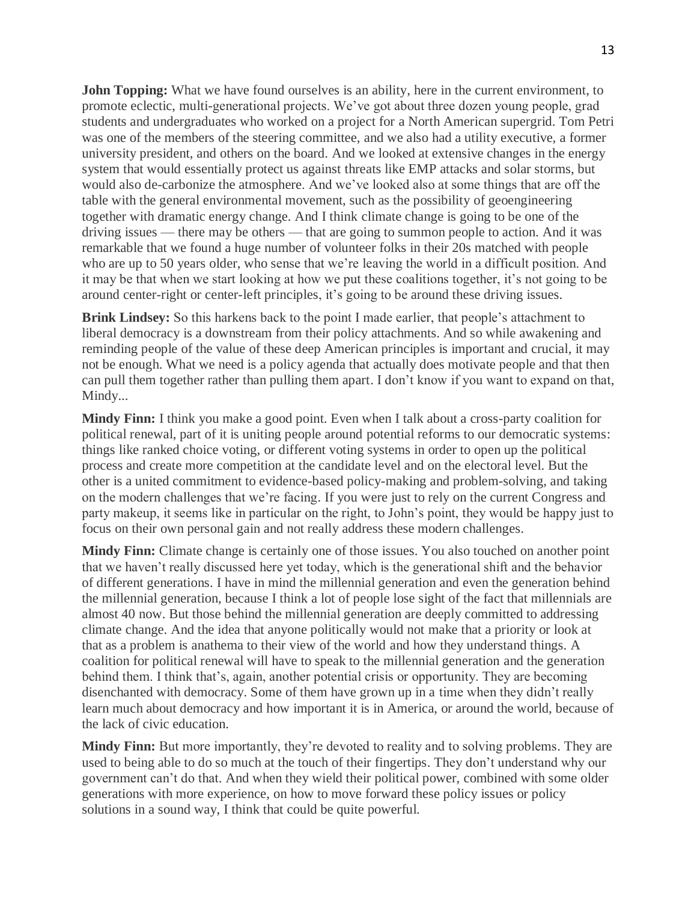**John Topping:** What we have found ourselves is an ability, here in the current environment, to promote eclectic, multi-generational projects. We've got about three dozen young people, grad students and undergraduates who worked on a project for a North American supergrid. Tom Petri was one of the members of the steering committee, and we also had a utility executive, a former university president, and others on the board. And we looked at extensive changes in the energy system that would essentially protect us against threats like EMP attacks and solar storms, but would also de-carbonize the atmosphere. And we've looked also at some things that are off the table with the general environmental movement, such as the possibility of geoengineering together with dramatic energy change. And I think climate change is going to be one of the driving issues — there may be others — that are going to summon people to action. And it was remarkable that we found a huge number of volunteer folks in their 20s matched with people who are up to 50 years older, who sense that we're leaving the world in a difficult position. And it may be that when we start looking at how we put these coalitions together, it's not going to be around center-right or center-left principles, it's going to be around these driving issues.

**Brink Lindsey:** So this harkens back to the point I made earlier, that people's attachment to liberal democracy is a downstream from their policy attachments. And so while awakening and reminding people of the value of these deep American principles is important and crucial, it may not be enough. What we need is a policy agenda that actually does motivate people and that then can pull them together rather than pulling them apart. I don't know if you want to expand on that, Mindy...

**Mindy Finn:** I think you make a good point. Even when I talk about a cross-party coalition for political renewal, part of it is uniting people around potential reforms to our democratic systems: things like ranked choice voting, or different voting systems in order to open up the political process and create more competition at the candidate level and on the electoral level. But the other is a united commitment to evidence-based policy-making and problem-solving, and taking on the modern challenges that we're facing. If you were just to rely on the current Congress and party makeup, it seems like in particular on the right, to John's point, they would be happy just to focus on their own personal gain and not really address these modern challenges.

**Mindy Finn:** Climate change is certainly one of those issues. You also touched on another point that we haven't really discussed here yet today, which is the generational shift and the behavior of different generations. I have in mind the millennial generation and even the generation behind the millennial generation, because I think a lot of people lose sight of the fact that millennials are almost 40 now. But those behind the millennial generation are deeply committed to addressing climate change. And the idea that anyone politically would not make that a priority or look at that as a problem is anathema to their view of the world and how they understand things. A coalition for political renewal will have to speak to the millennial generation and the generation behind them. I think that's, again, another potential crisis or opportunity. They are becoming disenchanted with democracy. Some of them have grown up in a time when they didn't really learn much about democracy and how important it is in America, or around the world, because of the lack of civic education.

**Mindy Finn:** But more importantly, they're devoted to reality and to solving problems. They are used to being able to do so much at the touch of their fingertips. They don't understand why our government can't do that. And when they wield their political power, combined with some older generations with more experience, on how to move forward these policy issues or policy solutions in a sound way, I think that could be quite powerful.